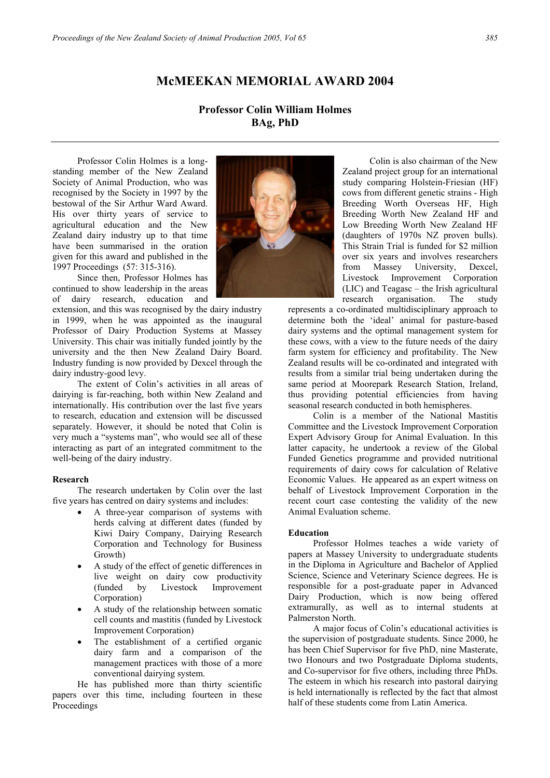## **McMEEKAN MEMORIAL AWARD 2004**

# **Professor Colin William Holmes BAg, PhD**

Professor Colin Holmes is a longstanding member of the New Zealand Society of Animal Production, who was recognised by the Society in 1997 by the bestowal of the Sir Arthur Ward Award. His over thirty years of service to agricultural education and the New Zealand dairy industry up to that time have been summarised in the oration given for this award and published in the 1997 Proceedings (57: 315-316).

Since then, Professor Holmes has continued to show leadership in the areas of dairy research, education and

extension, and this was recognised by the dairy industry in 1999, when he was appointed as the inaugural Professor of Dairy Production Systems at Massey University. This chair was initially funded jointly by the university and the then New Zealand Dairy Board. Industry funding is now provided by Dexcel through the dairy industry-good levy.

The extent of Colin's activities in all areas of dairying is far-reaching, both within New Zealand and internationally. His contribution over the last five years to research, education and extension will be discussed separately. However, it should be noted that Colin is very much a "systems man", who would see all of these interacting as part of an integrated commitment to the well-being of the dairy industry.

#### **Research**

The research undertaken by Colin over the last five years has centred on dairy systems and includes:

- A three-year comparison of systems with herds calving at different dates (funded by Kiwi Dairy Company, Dairying Research Corporation and Technology for Business Growth)
- A study of the effect of genetic differences in live weight on dairy cow productivity (funded by Livestock Improvement Corporation)
- A study of the relationship between somatic cell counts and mastitis (funded by Livestock Improvement Corporation)
- The establishment of a certified organic dairy farm and a comparison of the management practices with those of a more conventional dairying system.

He has published more than thirty scientific papers over this time, including fourteen in these Proceedings



 Colin is also chairman of the New Zealand project group for an international study comparing Holstein-Friesian (HF) cows from different genetic strains - High Breeding Worth Overseas HF, High Breeding Worth New Zealand HF and Low Breeding Worth New Zealand HF (daughters of 1970s NZ proven bulls). This Strain Trial is funded for \$2 million over six years and involves researchers from Massey University, Dexcel, Livestock Improvement Corporation (LIC) and Teagasc – the Irish agricultural research organisation. The study

represents a co-ordinated multidisciplinary approach to determine both the 'ideal' animal for pasture-based dairy systems and the optimal management system for these cows, with a view to the future needs of the dairy farm system for efficiency and profitability. The New Zealand results will be co-ordinated and integrated with results from a similar trial being undertaken during the same period at Moorepark Research Station, Ireland, thus providing potential efficiencies from having seasonal research conducted in both hemispheres.

Colin is a member of the National Mastitis Committee and the Livestock Improvement Corporation Expert Advisory Group for Animal Evaluation. In this latter capacity, he undertook a review of the Global Funded Genetics programme and provided nutritional requirements of dairy cows for calculation of Relative Economic Values. He appeared as an expert witness on behalf of Livestock Improvement Corporation in the recent court case contesting the validity of the new Animal Evaluation scheme.

#### **Education**

Professor Holmes teaches a wide variety of papers at Massey University to undergraduate students in the Diploma in Agriculture and Bachelor of Applied Science, Science and Veterinary Science degrees. He is responsible for a post-graduate paper in Advanced Dairy Production, which is now being offered extramurally, as well as to internal students at Palmerston North.

A major focus of Colin's educational activities is the supervision of postgraduate students. Since 2000, he has been Chief Supervisor for five PhD, nine Masterate, two Honours and two Postgraduate Diploma students, and Co-supervisor for five others, including three PhDs. The esteem in which his research into pastoral dairying is held internationally is reflected by the fact that almost half of these students come from Latin America.